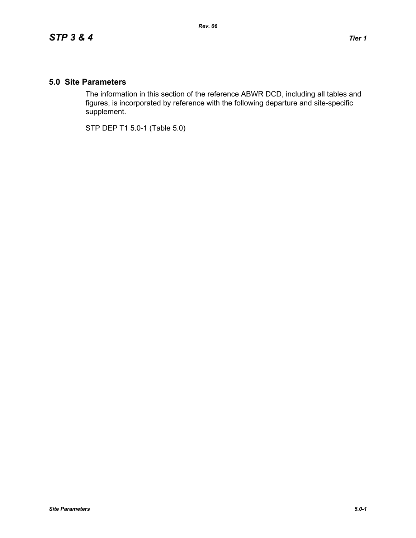## **5.0 Site Parameters**

The information in this section of the reference ABWR DCD, including all tables and figures, is incorporated by reference with the following departure and site-specific supplement.

STP DEP T1 5.0-1 (Table 5.0)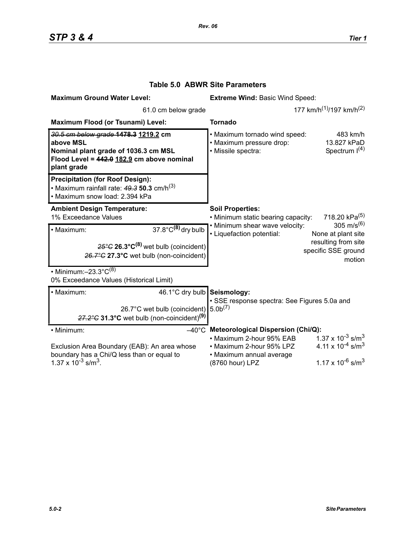| <b>Maximum Ground Water Level:</b>                                                                                                                                         | <b>Extreme Wind: Basic Wind Speed:</b>                                                                                                                              |
|----------------------------------------------------------------------------------------------------------------------------------------------------------------------------|---------------------------------------------------------------------------------------------------------------------------------------------------------------------|
| 61.0 cm below grade                                                                                                                                                        | 177 km/h <sup>(1)</sup> /197 km/h <sup>(2)</sup>                                                                                                                    |
| Maximum Flood (or Tsunami) Level:                                                                                                                                          | <b>Tornado</b>                                                                                                                                                      |
| 30.5 cm below grade 1478.3 1219.2 cm<br>above MSL<br>Nominal plant grade of 1036.3 cm MSL<br>Flood Level = 442.0 182.9 cm above nominal<br>plant grade                     | • Maximum tornado wind speed:<br>483 km/h<br>· Maximum pressure drop:<br>13.827 kPaD<br>Spectrum $I(4)$<br>· Missile spectra:                                       |
| <b>Precipitation (for Roof Design):</b><br>• Maximum rainfall rate: $49.3$ 50.3 cm/h <sup>(3)</sup><br>• Maximum snow load: 2.394 kPa                                      |                                                                                                                                                                     |
| <b>Ambient Design Temperature:</b><br>1% Exceedance Values                                                                                                                 | <b>Soil Properties:</b><br>718.20 kPa <sup>(5)</sup><br>• Minimum static bearing capacity:                                                                          |
| $37.8^{\circ}$ C <sup>(8)</sup> dry bulb<br>· Maximum:<br>$25^{\circ}$ G 26.3 $^{\circ}$ C <sup>(8)</sup> wet bulb (coincident)<br>26.7°C 27.3°C wet bulb (non-coincident) | 305 m/s <sup>(6)</sup><br>. Minimum shear wave velocity:<br>• Liquefaction potential:<br>None at plant site<br>resulting from site<br>specific SSE ground<br>motion |
| • Minimum: $-23.3^{\circ}C^{(8)}$<br>0% Exceedance Values (Historical Limit)                                                                                               |                                                                                                                                                                     |
| 46.1°C dry bulb Seismology:<br>· Maximum:<br>26.7°C wet bulb (coincident)<br>$27.2^{\circ}$ C 31.3°C wet bulb (non-coincident) <sup>(9)</sup>                              | · SSE response spectra: See Figures 5.0a and<br>5.0 <sup>(7)</sup>                                                                                                  |
| • Minimum:                                                                                                                                                                 | $-40^{\circ}$ C Meteorological Dispersion (Chi/Q):                                                                                                                  |
| Exclusion Area Boundary (EAB): An area whose<br>boundary has a Chi/Q less than or equal to                                                                                 | $1.37 \times 10^{-3}$ s/m <sup>3</sup><br>• Maximum 2-hour 95% EAB<br>4.11 x $10^{-4}$ s/m <sup>3</sup><br>• Maximum 2-hour 95% LPZ<br>• Maximum annual average     |
| 1.37 x $10^{-3}$ s/m <sup>3</sup> .                                                                                                                                        | $1.17 \times 10^{-6}$ s/m <sup>3</sup><br>(8760 hour) LPZ                                                                                                           |

## **Table 5.0 ABWR Site Parameters**